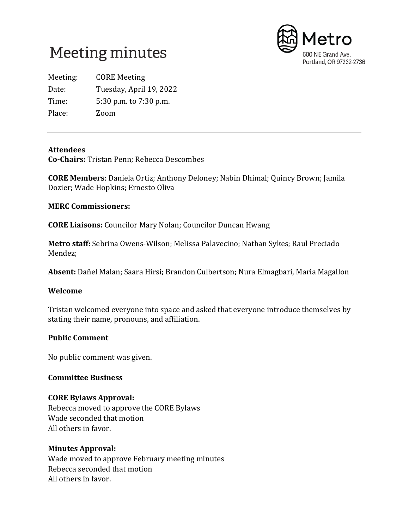



Meeting: CORE Meeting Date: Tuesday, April 19, 2022 Time: 5:30 p.m. to 7:30 p.m. Place: Zoom

## **Attendees**

**Co-Chairs:** Tristan Penn; Rebecca Descombes

**CORE Members**: Daniela Ortiz; Anthony Deloney; Nabin Dhimal; Quincy Brown; Jamila Dozier; Wade Hopkins; Ernesto Oliva

### **MERC Commissioners:**

**CORE Liaisons:** Councilor Mary Nolan; Councilor Duncan Hwang

**Metro staff:** Sebrina Owens-Wilson; Melissa Palavecino; Nathan Sykes; Raul Preciado Mendez;

**Absent:** Dañel Malan; Saara Hirsi; Brandon Culbertson; Nura Elmagbari, Maria Magallon

## **Welcome**

Tristan welcomed everyone into space and asked that everyone introduce themselves by stating their name, pronouns, and affiliation.

## **Public Comment**

No public comment was given.

#### **Committee Business**

## **CORE Bylaws Approval:**

Rebecca moved to approve the CORE Bylaws Wade seconded that motion All others in favor.

#### **Minutes Approval:**

Wade moved to approve February meeting minutes Rebecca seconded that motion All others in favor.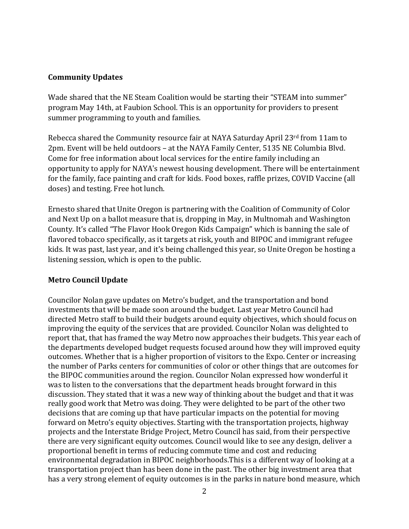# **Community Updates**

Wade shared that the NE Steam Coalition would be starting their "STEAM into summer" program May 14th, at Faubion School. This is an opportunity for providers to present summer programming to youth and families.

Rebecca shared the Community resource fair at NAYA Saturday April 23rd from 11am to 2pm. Event will be held outdoors – at the NAYA Family Center, 5135 NE Columbia Blvd. Come for free information about local services for the entire family including an opportunity to apply for NAYA's newest housing development. There will be entertainment for the family, face painting and craft for kids. Food boxes, raffle prizes, COVID Vaccine (all doses) and testing. Free hot lunch.

Ernesto shared that Unite Oregon is partnering with the Coalition of Community of Color and Next Up on a ballot measure that is, dropping in May, in Multnomah and Washington County. It's called "The Flavor Hook Oregon Kids Campaign" which is banning the sale of flavored tobacco specifically, as it targets at risk, youth and BIPOC and immigrant refugee kids. It was past, last year, and it's being challenged this year, so Unite Oregon be hosting a listening session, which is open to the public.

## **Metro Council Update**

Councilor Nolan gave updates on Metro's budget, and the transportation and bond investments that will be made soon around the budget. Last year Metro Council had directed Metro staff to build their budgets around equity objectives, which should focus on improving the equity of the services that are provided. Councilor Nolan was delighted to report that, that has framed the way Metro now approaches their budgets. This year each of the departments developed budget requests focused around how they will improved equity outcomes. Whether that is a higher proportion of visitors to the Expo. Center or increasing the number of Parks centers for communities of color or other things that are outcomes for the BIPOC communities around the region. Councilor Nolan expressed how wonderful it was to listen to the conversations that the department heads brought forward in this discussion. They stated that it was a new way of thinking about the budget and that it was really good work that Metro was doing. They were delighted to be part of the other two decisions that are coming up that have particular impacts on the potential for moving forward on Metro's equity objectives. Starting with the transportation projects, highway projects and the Interstate Bridge Project, Metro Council has said, from their perspective there are very significant equity outcomes. Council would like to see any design, deliver a proportional benefit in terms of reducing commute time and cost and reducing environmental degradation in BIPOC neighborhoods.This is a different way of looking at a transportation project than has been done in the past. The other big investment area that has a very strong element of equity outcomes is in the parks in nature bond measure, which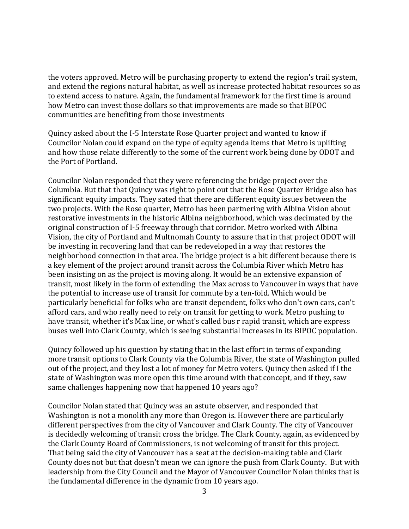the voters approved. Metro will be purchasing property to extend the region's trail system, and extend the regions natural habitat, as well as increase protected habitat resources so as to extend access to nature. Again, the fundamental framework for the first time is around how Metro can invest those dollars so that improvements are made so that BIPOC communities are benefiting from those investments

Quincy asked about the I-5 Interstate Rose Quarter project and wanted to know if Councilor Nolan could expand on the type of equity agenda items that Metro is uplifting and how those relate differently to the some of the current work being done by ODOT and the Port of Portland.

Councilor Nolan responded that they were referencing the bridge project over the Columbia. But that that Quincy was right to point out that the Rose Quarter Bridge also has significant equity impacts. They sated that there are different equity issues between the two projects. With the Rose quarter, Metro has been partnering with Albina Vision about restorative investments in the historic Albina neighborhood, which was decimated by the original construction of I-5 freeway through that corridor. Metro worked with Albina Vision, the city of Portland and Multnomah County to assure that in that project ODOT will be investing in recovering land that can be redeveloped in a way that restores the neighborhood connection in that area. The bridge project is a bit different because there is a key element of the project around transit across the Columbia River which Metro has been insisting on as the project is moving along. It would be an extensive expansion of transit, most likely in the form of extending the Max across to Vancouver in ways that have the potential to increase use of transit for commute by a ten-fold. Which would be particularly beneficial for folks who are transit dependent, folks who don't own cars, can't afford cars, and who really need to rely on transit for getting to work. Metro pushing to have transit, whether it's Max line, or what's called bus r rapid transit, which are express buses well into Clark County, which is seeing substantial increases in its BIPOC population.

Quincy followed up his question by stating that in the last effort in terms of expanding more transit options to Clark County via the Columbia River, the state of Washington pulled out of the project, and they lost a lot of money for Metro voters. Quincy then asked if I the state of Washington was more open this time around with that concept, and if they, saw same challenges happening now that happened 10 years ago?

Councilor Nolan stated that Quincy was an astute observer, and responded that Washington is not a monolith any more than Oregon is. However there are particularly different perspectives from the city of Vancouver and Clark County. The city of Vancouver is decidedly welcoming of transit cross the bridge. The Clark County, again, as evidenced by the Clark County Board of Commissioners, is not welcoming of transit for this project. That being said the city of Vancouver has a seat at the decision-making table and Clark County does not but that doesn't mean we can ignore the push from Clark County. But with leadership from the City Council and the Mayor of Vancouver Councilor Nolan thinks that is the fundamental difference in the dynamic from 10 years ago.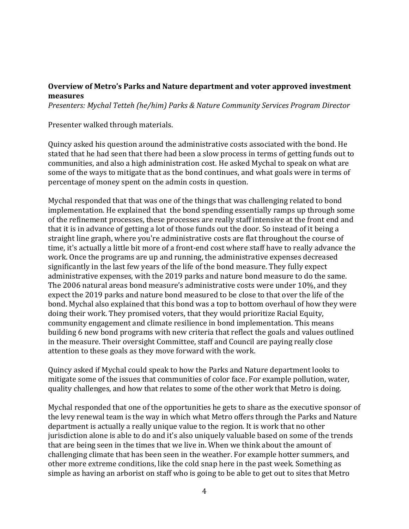## **Overview of Metro's Parks and Nature department and voter approved investment measures**

*Presenters: Mychal Tetteh (he/him) Parks & Nature Community Services Program Director*

Presenter walked through materials.

Quincy asked his question around the administrative costs associated with the bond. He stated that he had seen that there had been a slow process in terms of getting funds out to communities, and also a high administration cost. He asked Mychal to speak on what are some of the ways to mitigate that as the bond continues, and what goals were in terms of percentage of money spent on the admin costs in question.

Mychal responded that that was one of the things that was challenging related to bond implementation. He explained that the bond spending essentially ramps up through some of the refinement processes, these processes are really staff intensive at the front end and that it is in advance of getting a lot of those funds out the door. So instead of it being a straight line graph, where you're administrative costs are flat throughout the course of time, it's actually a little bit more of a front-end cost where staff have to really advance the work. Once the programs are up and running, the administrative expenses decreased significantly in the last few years of the life of the bond measure. They fully expect administrative expenses, with the 2019 parks and nature bond measure to do the same. The 2006 natural areas bond measure's administrative costs were under 10%, and they expect the 2019 parks and nature bond measured to be close to that over the life of the bond. Mychal also explained that this bond was a top to bottom overhaul of how they were doing their work. They promised voters, that they would prioritize Racial Equity, community engagement and climate resilience in bond implementation. This means building 6 new bond programs with new criteria that reflect the goals and values outlined in the measure. Their oversight Committee, staff and Council are paying really close attention to these goals as they move forward with the work.

Quincy asked if Mychal could speak to how the Parks and Nature department looks to mitigate some of the issues that communities of color face. For example pollution, water, quality challenges, and how that relates to some of the other work that Metro is doing.

Mychal responded that one of the opportunities he gets to share as the executive sponsor of the levy renewal team is the way in which what Metro offers through the Parks and Nature department is actually a really unique value to the region. It is work that no other jurisdiction alone is able to do and it's also uniquely valuable based on some of the trends that are being seen in the times that we live in. When we think about the amount of challenging climate that has been seen in the weather. For example hotter summers, and other more extreme conditions, like the cold snap here in the past week. Something as simple as having an arborist on staff who is going to be able to get out to sites that Metro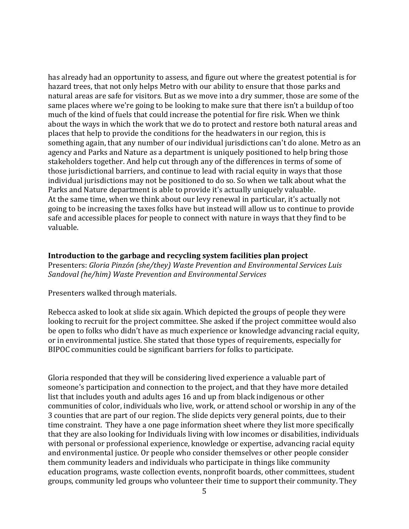has already had an opportunity to assess, and figure out where the greatest potential is for hazard trees, that not only helps Metro with our ability to ensure that those parks and natural areas are safe for visitors. But as we move into a dry summer, those are some of the same places where we're going to be looking to make sure that there isn't a buildup of too much of the kind of fuels that could increase the potential for fire risk. When we think about the ways in which the work that we do to protect and restore both natural areas and places that help to provide the conditions for the headwaters in our region, this is something again, that any number of our individual jurisdictions can't do alone. Metro as an agency and Parks and Nature as a department is uniquely positioned to help bring those stakeholders together. And help cut through any of the differences in terms of some of those jurisdictional barriers, and continue to lead with racial equity in ways that those individual jurisdictions may not be positioned to do so. So when we talk about what the Parks and Nature department is able to provide it's actually uniquely valuable. At the same time, when we think about our levy renewal in particular, it's actually not going to be increasing the taxes folks have but instead will allow us to continue to provide safe and accessible places for people to connect with nature in ways that they find to be valuable.

**Introduction to the garbage and recycling system facilities plan project** Presenters: *Gloria Pinzón (she/they) Waste Prevention and Environmental Services Luis Sandoval (he/him) Waste Prevention and Environmental Services*

Presenters walked through materials.

Rebecca asked to look at slide six again. Which depicted the groups of people they were looking to recruit for the project committee. She asked if the project committee would also be open to folks who didn't have as much experience or knowledge advancing racial equity, or in environmental justice. She stated that those types of requirements, especially for BIPOC communities could be significant barriers for folks to participate.

Gloria responded that they will be considering lived experience a valuable part of someone's participation and connection to the project, and that they have more detailed list that includes youth and adults ages 16 and up from black indigenous or other communities of color, individuals who live, work, or attend school or worship in any of the 3 counties that are part of our region. The slide depicts very general points, due to their time constraint. They have a one page information sheet where they list more specifically that they are also looking for Individuals living with low incomes or disabilities, individuals with personal or professional experience, knowledge or expertise, advancing racial equity and environmental justice. Or people who consider themselves or other people consider them community leaders and individuals who participate in things like community education programs, waste collection events, nonprofit boards, other committees, student groups, community led groups who volunteer their time to support their community. They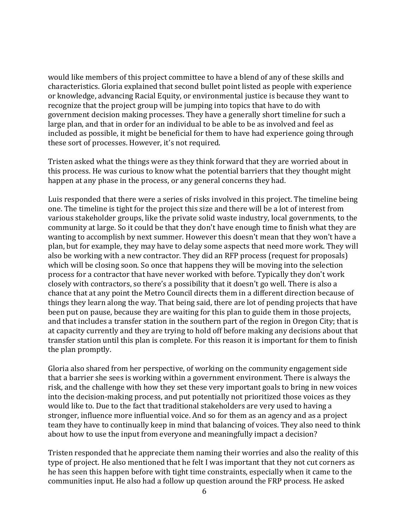would like members of this project committee to have a blend of any of these skills and characteristics. Gloria explained that second bullet point listed as people with experience or knowledge, advancing Racial Equity, or environmental justice is because they want to recognize that the project group will be jumping into topics that have to do with government decision making processes. They have a generally short timeline for such a large plan, and that in order for an individual to be able to be as involved and feel as included as possible, it might be beneficial for them to have had experience going through these sort of processes. However, it's not required.

Tristen asked what the things were as they think forward that they are worried about in this process. He was curious to know what the potential barriers that they thought might happen at any phase in the process, or any general concerns they had.

Luis responded that there were a series of risks involved in this project. The timeline being one. The timeline is tight for the project this size and there will be a lot of interest from various stakeholder groups, like the private solid waste industry, local governments, to the community at large. So it could be that they don't have enough time to finish what they are wanting to accomplish by next summer. However this doesn't mean that they won't have a plan, but for example, they may have to delay some aspects that need more work. They will also be working with a new contractor. They did an RFP process (request for proposals) which will be closing soon. So once that happens they will be moving into the selection process for a contractor that have never worked with before. Typically they don't work closely with contractors, so there's a possibility that it doesn't go well. There is also a chance that at any point the Metro Council directs them in a different direction because of things they learn along the way. That being said, there are lot of pending projects that have been put on pause, because they are waiting for this plan to guide them in those projects, and that includes a transfer station in the southern part of the region in Oregon City; that is at capacity currently and they are trying to hold off before making any decisions about that transfer station until this plan is complete. For this reason it is important for them to finish the plan promptly.

Gloria also shared from her perspective, of working on the community engagement side that a barrier she sees is working within a government environment. There is always the risk, and the challenge with how they set these very important goals to bring in new voices into the decision-making process, and put potentially not prioritized those voices as they would like to. Due to the fact that traditional stakeholders are very used to having a stronger, influence more influential voice. And so for them as an agency and as a project team they have to continually keep in mind that balancing of voices. They also need to think about how to use the input from everyone and meaningfully impact a decision?

Tristen responded that he appreciate them naming their worries and also the reality of this type of project. He also mentioned that he felt I was important that they not cut corners as he has seen this happen before with tight time constraints, especially when it came to the communities input. He also had a follow up question around the FRP process. He asked